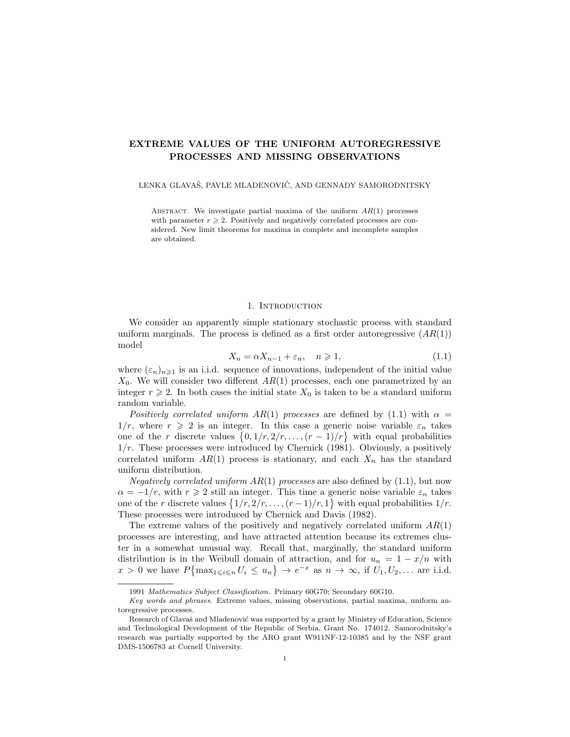# EXTREME VALUES OF THE UNIFORM AUTOREGRESSIVE PROCESSES AND MISSING OBSERVATIONS

LENKA GLAVAŠ, PAVLE MLADENOVIĆ, AND GENNADY SAMORODNITSKY

ABSTRACT. We investigate partial maxima of the uniform  $AR(1)$  processes with parameter  $r \geqslant 2$ . Positively and negatively correlated processes are considered. New limit theorems for maxima in complete and incomplete samples are obtained.

### 1. Introduction

We consider an apparently simple stationary stochastic process with standard uniform marginals. The process is defined as a first order autoregressive  $(AR(1))$ model

$$
X_n = \alpha X_{n-1} + \varepsilon_n, \quad n \geqslant 1,\tag{1.1}
$$

where  $(\varepsilon_n)_{n\geq 1}$  is an i.i.d. sequence of innovations, independent of the initial value  $X_0$ . We will consider two different  $AR(1)$  processes, each one parametrized by an integer  $r \geq 2$ . In both cases the initial state  $X_0$  is taken to be a standard uniform random variable.

Positively correlated uniform  $AR(1)$  processes are defined by (1.1) with  $\alpha =$  $1/r$ , where  $r \geqslant 2$  is an integer. In this case a generic noise variable  $\varepsilon_n$  takes one of the r discrete values  $\{0, 1/r, 2/r, \ldots, (r-1)/r\}$  with equal probabilities  $1/r$ . These processes were introduced by Chernick (1981). Obviously, a positively correlated uniform  $AR(1)$  process is stationary, and each  $X_n$  has the standard uniform distribution.

*Negatively correlated uniform AR(1) processes* are also defined by  $(1.1)$ , but now  $\alpha = -1/r$ , with  $r \geq 2$  still an integer. This time a generic noise variable  $\varepsilon_n$  takes one of the r discrete values  $\{1/r, 2/r, \ldots, (r-1)/r, 1\}$  with equal probabilities  $1/r$ . These processes were introduced by Chernick and Davis (1982).

The extreme values of the positively and negatively correlated uniform  $AR(1)$ processes are interesting, and have attracted attention because its extremes cluster in a somewhat unusual way. Recall that, marginally, the standard uniform distribution is in the Weibull domain of attraction, and for  $u_n = 1 - x/n$  with  $x > 0$  we have  $P\{\max_{1 \leq i \leq n} U_i \leq u_n\} \to e^{-x}$  as  $n \to \infty$ , if  $U_1, U_2, \ldots$  are i.i.d.

<sup>1991</sup> Mathematics Subject Classification. Primary 60G70; Secondary 60G10.

Key words and phrases. Extreme values, missing observations, partial maxima, uniform autoregressive processes.

Research of Glavaš and Mladenović was supported by a grant by Ministry of Education, Science and Technological Development of the Republic of Serbia, Grant No. 174012. Samorodnitsky's research was partially supported by the ARO grant W911NF-12-10385 and by the NSF grant DMS-1506783 at Cornell University.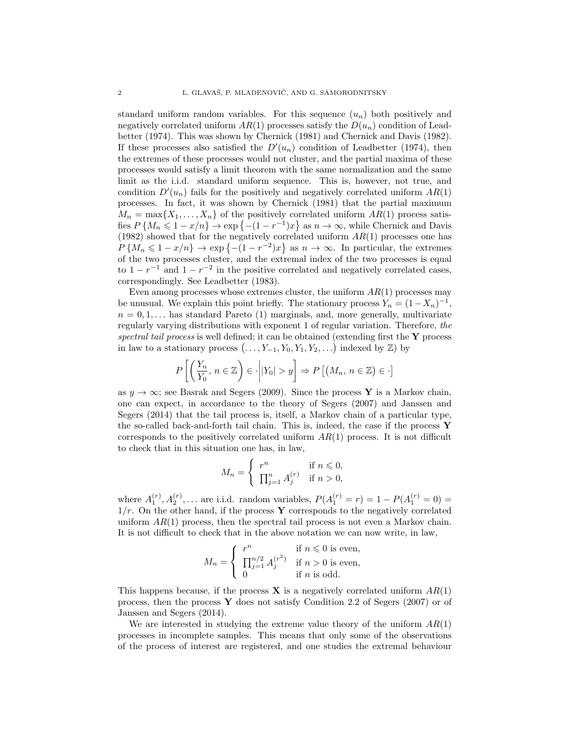standard uniform random variables. For this sequence  $(u_n)$  both positively and negatively correlated uniform  $AR(1)$  processes satisfy the  $D(u_n)$  condition of Leadbetter (1974). This was shown by Chernick (1981) and Chernick and Davis (1982). If these processes also satisfied the  $D'(u_n)$  condition of Leadbetter (1974), then the extremes of these processes would not cluster, and the partial maxima of these processes would satisfy a limit theorem with the same normalization and the same limit as the i.i.d. standard uniform sequence. This is, however, not true, and condition  $D'(u_n)$  fails for the positively and negatively correlated uniform  $AR(1)$ processes. In fact, it was shown by Chernick (1981) that the partial maximum  $M_n = \max\{X_1, \ldots, X_n\}$  of the positively correlated uniform  $AR(1)$  process satisfies  $P\{M_n \leq 1 - x/n\} \to \exp\{- (1 - r^{-1})x\}$  as  $n \to \infty$ , while Chernick and Davis (1982) showed that for the negatively correlated uniform  $AR(1)$  processes one has  $P\{M_n \leq 1 - x/n\} \to \exp\{- (1 - r^{-2})x\}$  as  $n \to \infty$ . In particular, the extremes of the two processes cluster, and the extremal index of the two processes is equal to  $1 - r^{-1}$  and  $1 - r^{-2}$  in the positive correlated and negatively correlated cases, correspondingly. See Leadbetter (1983).

Even among processes whose extremes cluster, the uniform  $AR(1)$  processes may be unusual. We explain this point briefly. The stationary process  $Y_n = (1 - X_n)^{-1}$ ,  $n = 0, 1, \ldots$  has standard Pareto (1) marginals, and, more generally, multivariate regularly varying distributions with exponent 1 of regular variation. Therefore, the spectral tail process is well defined; it can be obtained (extending first the  $\bf{Y}$  process in law to a stationary process  $(\ldots, Y_{-1}, Y_0, Y_1, Y_2, \ldots)$  indexed by  $\mathbb{Z}$ ) by

$$
P\left[\left(\frac{Y_n}{Y_0}, n \in \mathbb{Z}\right) \in \cdot \middle| |Y_0| > y\right] \Rightarrow P\left[\left(M_n, n \in \mathbb{Z}\right) \in \cdot\right]
$$

as  $y \to \infty$ ; see Basrak and Segers (2009). Since the process Y is a Markov chain, one can expect, in accordance to the theory of Segers (2007) and Janssen and Segers (2014) that the tail process is, itself, a Markov chain of a particular type, the so-called back-and-forth tail chain. This is, indeed, the case if the process Y corresponds to the positively correlated uniform  $AR(1)$  process. It is not difficult to check that in this situation one has, in law,

$$
M_n = \begin{cases} r^n & \text{if } n \leq 0, \\ \prod_{j=1}^n A_j^{(r)} & \text{if } n > 0, \end{cases}
$$

where  $A_1^{(r)}, A_2^{(r)}, \ldots$  are i.i.d. random variables,  $P(A_1^{(r)} = r) = 1 - P(A_1^{(r)} = 0) =$  $1/r$ . On the other hand, if the process Y corresponds to the negatively correlated uniform  $AR(1)$  process, then the spectral tail process is not even a Markov chain. It is not difficult to check that in the above notation we can now write, in law,

$$
M_n = \begin{cases} r^n & \text{if } n \leq 0 \text{ is even,} \\ \prod_{j=1}^{n/2} A_j^{(r^2)} & \text{if } n > 0 \text{ is even,} \\ 0 & \text{if } n \text{ is odd.} \end{cases}
$$

This happens because, if the process **X** is a negatively correlated uniform  $AR(1)$ process, then the process Y does not satisfy Condition 2.2 of Segers (2007) or of Janssen and Segers (2014).

We are interested in studying the extreme value theory of the uniform  $AR(1)$ processes in incomplete samples. This means that only some of the observations of the process of interest are registered, and one studies the extremal behaviour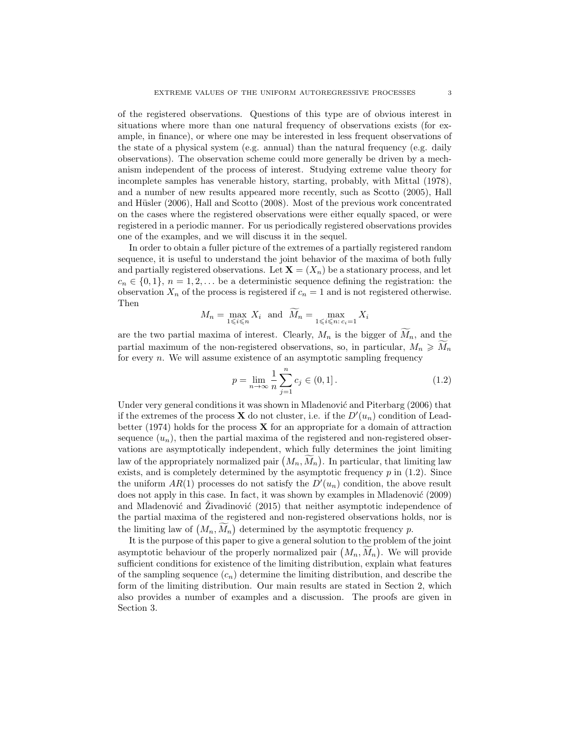of the registered observations. Questions of this type are of obvious interest in situations where more than one natural frequency of observations exists (for example, in finance), or where one may be interested in less frequent observations of the state of a physical system (e.g. annual) than the natural frequency (e.g. daily observations). The observation scheme could more generally be driven by a mechanism independent of the process of interest. Studying extreme value theory for incomplete samples has venerable history, starting, probably, with Mittal (1978), and a number of new results appeared more recently, such as Scotto (2005), Hall and Hüsler  $(2006)$ , Hall and Scotto  $(2008)$ . Most of the previous work concentrated on the cases where the registered observations were either equally spaced, or were registered in a periodic manner. For us periodically registered observations provides one of the examples, and we will discuss it in the sequel.

In order to obtain a fuller picture of the extremes of a partially registered random sequence, it is useful to understand the joint behavior of the maxima of both fully and partially registered observations. Let  $\mathbf{X} = (X_n)$  be a stationary process, and let  $c_n \in \{0,1\}, n = 1,2,...$  be a deterministic sequence defining the registration: the observation  $X_n$  of the process is registered if  $c_n = 1$  and is not registered otherwise. Then

$$
M_n = \max_{1 \leq i \leq n} X_i \text{ and } \widetilde{M}_n = \max_{1 \leq i \leq n: c_i = 1} X_i
$$

are the two partial maxima of interest. Clearly,  $M_n$  is the bigger of  $M_n$ , and the partial maximum of the non-registered observations, so, in particular,  $M_n \geq M_n$ for every  $n$ . We will assume existence of an asymptotic sampling frequency

$$
p = \lim_{n \to \infty} \frac{1}{n} \sum_{j=1}^{n} c_j \in (0, 1].
$$
 (1.2)

Under very general conditions it was shown in Mladenović and Piterbarg (2006) that if the extremes of the process **X** do not cluster, i.e. if the  $D'(u_n)$  condition of Leadbetter (1974) holds for the process  $\bf{X}$  for an appropriate for a domain of attraction sequence  $(u_n)$ , then the partial maxima of the registered and non-registered observations are asymptotically independent, which fully determines the joint limiting law of the appropriately normalized pair  $(M_n, M_n)$ . In particular, that limiting law exists, and is completely determined by the asymptotic frequency  $p$  in (1.2). Since the uniform  $AR(1)$  processes do not satisfy the  $D'(u_n)$  condition, the above result does not apply in this case. In fact, it was shown by examples in Mladenović (2009) and Mladenović and  $\tilde{Z}$ ivadinović (2015) that neither asymptotic independence of the partial maxima of the registered and non-registered observations holds, nor is the limiting law of  $(M_n, \tilde{M}_n)$  determined by the asymptotic frequency p.

It is the purpose of this paper to give a general solution to the problem of the joint asymptotic behaviour of the properly normalized pair  $(M_n, M_n)$ . We will provide sufficient conditions for existence of the limiting distribution, explain what features of the sampling sequence  $(c_n)$  determine the limiting distribution, and describe the form of the limiting distribution. Our main results are stated in Section 2, which also provides a number of examples and a discussion. The proofs are given in Section 3.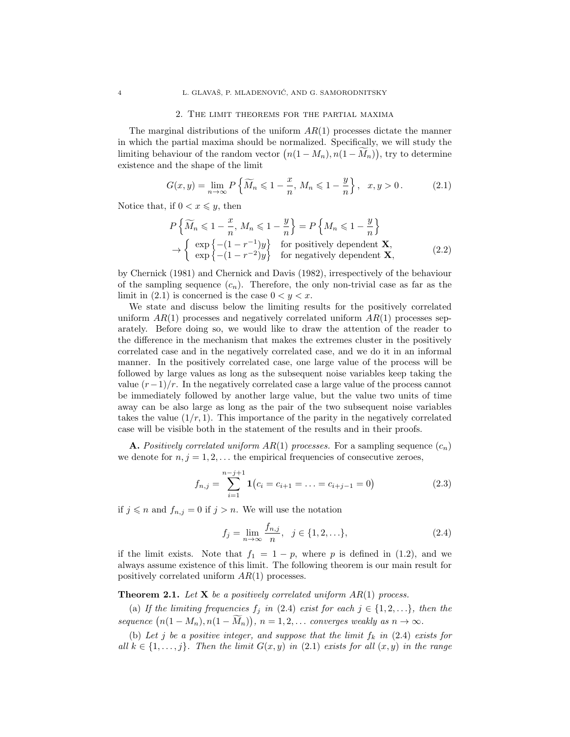### 2. The limit theorems for the partial maxima

The marginal distributions of the uniform  $AR(1)$  processes dictate the manner in which the partial maxima should be normalized. Specifically, we will study the limiting behaviour of the random vector  $(n(1-M_n), n(1-M_n))$ , try to determine existence and the shape of the limit

$$
G(x, y) = \lim_{n \to \infty} P\left\{\widetilde{M}_n \leq 1 - \frac{x}{n}, M_n \leq 1 - \frac{y}{n}\right\}, \quad x, y > 0. \tag{2.1}
$$

Notice that, if  $0 < x \leq y$ , then

$$
P\left\{\widetilde{M}_n \leq 1 - \frac{x}{n}, M_n \leq 1 - \frac{y}{n}\right\} = P\left\{M_n \leq 1 - \frac{y}{n}\right\}
$$
  
\n
$$
\rightarrow \begin{cases} \exp\left\{-(1 - r^{-1})y\right\} & \text{for positively dependent } \mathbf{X}, \\ \exp\left\{-(1 - r^{-2})y\right\} & \text{for negatively dependent } \mathbf{X}, \end{cases}
$$
 (2.2)

by Chernick (1981) and Chernick and Davis (1982), irrespectively of the behaviour of the sampling sequence  $(c_n)$ . Therefore, the only non-trivial case as far as the limit in  $(2.1)$  is concerned is the case  $0 < y < x$ .

We state and discuss below the limiting results for the positively correlated uniform  $AR(1)$  processes and negatively correlated uniform  $AR(1)$  processes separately. Before doing so, we would like to draw the attention of the reader to the difference in the mechanism that makes the extremes cluster in the positively correlated case and in the negatively correlated case, and we do it in an informal manner. In the positively correlated case, one large value of the process will be followed by large values as long as the subsequent noise variables keep taking the value  $(r-1)/r$ . In the negatively correlated case a large value of the process cannot be immediately followed by another large value, but the value two units of time away can be also large as long as the pair of the two subsequent noise variables takes the value  $(1/r, 1)$ . This importance of the parity in the negatively correlated case will be visible both in the statement of the results and in their proofs.

**A.** Positively correlated uniform  $AR(1)$  processes. For a sampling sequence  $(c_n)$ we denote for  $n, j = 1, 2, \ldots$  the empirical frequencies of consecutive zeroes,

$$
f_{n,j} = \sum_{i=1}^{n-j+1} \mathbf{1}(c_i = c_{i+1} = \ldots = c_{i+j-1} = 0)
$$
 (2.3)

if  $j \leq n$  and  $f_{n,j} = 0$  if  $j > n$ . We will use the notation

$$
f_j = \lim_{n \to \infty} \frac{f_{n,j}}{n}, \ \ j \in \{1, 2, \ldots\},\tag{2.4}
$$

if the limit exists. Note that  $f_1 = 1 - p$ , where p is defined in (1.2), and we always assume existence of this limit. The following theorem is our main result for positively correlated uniform  $AR(1)$  processes.

# **Theorem 2.1.** Let **X** be a positively correlated uniform  $AR(1)$  process.

(a) If the limiting frequencies  $f_j$  in (2.4) exist for each  $j \in \{1, 2, \ldots\}$ , then the sequence  $(n(1-M_n), n(1-M_n)), n = 1, 2, ...$  converges weakly as  $n \to \infty$ .

(b) Let j be a positive integer, and suppose that the limit  $f_k$  in (2.4) exists for all  $k \in \{1, \ldots, j\}$ . Then the limit  $G(x, y)$  in (2.1) exists for all  $(x, y)$  in the range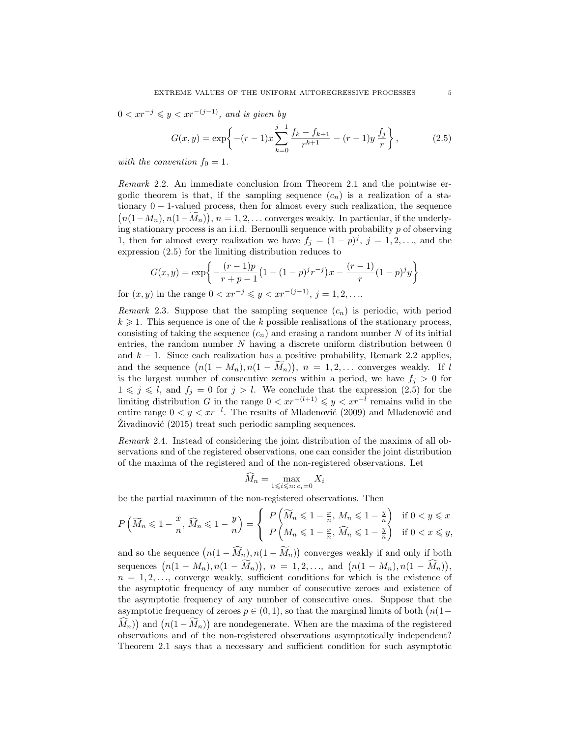$0 < xr^{-j} \leqslant y < xr^{-(j-1)}$ , and is given by

$$
G(x,y) = \exp\left\{-(r-1)x\sum_{k=0}^{j-1}\frac{f_k - f_{k+1}}{r^{k+1}} - (r-1)y\frac{f_j}{r}\right\},\qquad(2.5)
$$

with the convention  $f_0 = 1$ .

Remark 2.2. An immediate conclusion from Theorem 2.1 and the pointwise ergodic theorem is that, if the sampling sequence  $(c_n)$  is a realization of a stationary 0 − 1-valued process, then for almost every such realization, the sequence  $(n(1-M_n), n(1-M_n)), n = 1, 2, \ldots$  converges weakly. In particular, if the underlying stationary process is an i.i.d. Bernoulli sequence with probability p of observing 1, then for almost every realization we have  $f_j = (1-p)^j$ ,  $j = 1, 2, \ldots$ , and the expression (2.5) for the limiting distribution reduces to

$$
G(x,y) = \exp\left\{-\frac{(r-1)p}{r+p-1}\left(1-(1-p)^j r^{-j}\right)x - \frac{(r-1)}{r}\left(1-p\right)^j y\right\}
$$

for  $(x, y)$  in the range  $0 < xr^{-j} \leq y < xr^{-(j-1)}, j = 1, 2, ...$ 

*Remark* 2.3. Suppose that the sampling sequence  $(c_n)$  is periodic, with period  $k \geq 1$ . This sequence is one of the k possible realisations of the stationary process, consisting of taking the sequence  $(c_n)$  and erasing a random number N of its initial entries, the random number  $N$  having a discrete uniform distribution between  $0$ and  $k - 1$ . Since each realization has a positive probability, Remark 2.2 applies, and the sequence  $(n(1 - M_n), n(1 - M_n)), n = 1, 2, \ldots$  converges weakly. If l is the largest number of consecutive zeroes within a period, we have  $f_j > 0$  for  $1 \leqslant j \leqslant l$ , and  $f_j = 0$  for  $j > l$ . We conclude that the expression  $(2.5)$  for the limiting distribution G in the range  $0 < xr^{-(l+1)} \leq y < xr^{-l}$  remains valid in the entire range  $0 < y < xr^{-l}$ . The results of Mladenović (2009) and Mladenović and  $Zivadinovi\acute{c}$  (2015) treat such periodic sampling sequences.

Remark 2.4. Instead of considering the joint distribution of the maxima of all observations and of the registered observations, one can consider the joint distribution of the maxima of the registered and of the non-registered observations. Let

$$
M_n = \max_{1 \leq i \leq n: c_i = 0} X_i
$$

be the partial maximum of the non-registered observations. Then

$$
P\left(\widetilde{M}_n \leq 1 - \frac{x}{n}, \widehat{M}_n \leq 1 - \frac{y}{n}\right) = \begin{cases} P\left(\widetilde{M}_n \leq 1 - \frac{x}{n}, M_n \leq 1 - \frac{y}{n}\right) & \text{if } 0 < y \leq x \\ P\left(M_n \leq 1 - \frac{x}{n}, \widehat{M}_n \leq 1 - \frac{y}{n}\right) & \text{if } 0 < x \leq y, \end{cases}
$$

and so the sequence  $(n(1 - M_n), n(1 - M_n))$  converges weakly if and only if both sequences  $(n(1 - M_n), n(1 - M_n)), n = 1, 2, ..., \text{ and } (n(1 - M_n), n(1 - M_n)),$  $n = 1, 2, \ldots$ , converge weakly, sufficient conditions for which is the existence of the asymptotic frequency of any number of consecutive zeroes and existence of the asymptotic frequency of any number of consecutive ones. Suppose that the asymptotic frequency of zeroes  $p \in (0, 1)$ , so that the marginal limits of both  $(n(1 (M_n)$  and  $(n(1-M_n))$  are nondegenerate. When are the maxima of the registered observations and of the non-registered observations asymptotically independent? Theorem 2.1 says that a necessary and sufficient condition for such asymptotic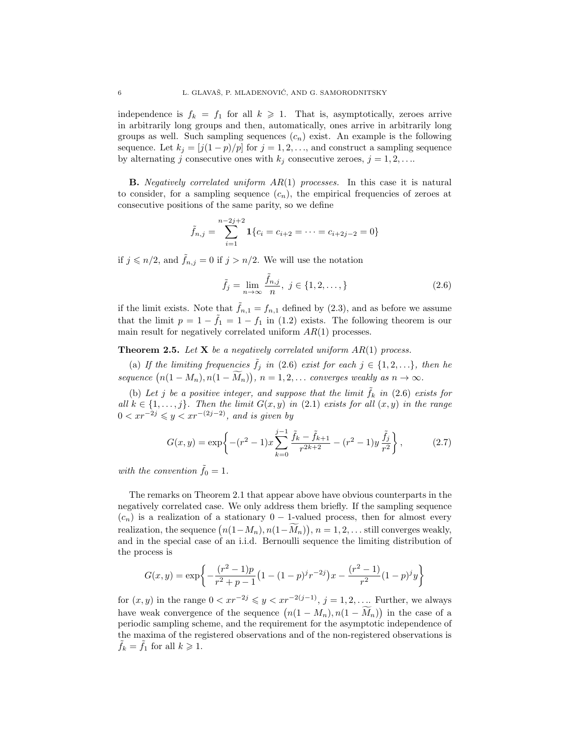independence is  $f_k = f_1$  for all  $k \ge 1$ . That is, asymptotically, zeroes arrive in arbitrarily long groups and then, automatically, ones arrive in arbitrarily long groups as well. Such sampling sequences  $(c_n)$  exist. An example is the following sequence. Let  $k_j = [j(1-p)/p]$  for  $j = 1, 2, \ldots$ , and construct a sampling sequence by alternating j consecutive ones with  $k_j$  consecutive zeroes,  $j = 1, 2, \ldots$ 

**B.** Negatively correlated uniform  $AR(1)$  processes. In this case it is natural to consider, for a sampling sequence  $(c_n)$ , the empirical frequencies of zeroes at consecutive positions of the same parity, so we define

$$
\tilde{f}_{n,j} = \sum_{i=1}^{n-2j+2} \mathbf{1} \{ c_i = c_{i+2} = \dots = c_{i+2j-2} = 0 \}
$$

if  $j \n\t\leq n/2$ , and  $\tilde{f}_{n,j} = 0$  if  $j > n/2$ . We will use the notation

$$
\tilde{f}_j = \lim_{n \to \infty} \frac{\tilde{f}_{n,j}}{n}, \ j \in \{1, 2, \dots, \}
$$
\n(2.6)

if the limit exists. Note that  $\tilde{f}_{n,1} = f_{n,1}$  defined by (2.3), and as before we assume that the limit  $p = 1 - \tilde{f}_1 = 1 - f_1$  in (1.2) exists. The following theorem is our main result for negatively correlated uniform  $AR(1)$  processes.

**Theorem 2.5.** Let **X** be a negatively correlated uniform  $AR(1)$  process.

(a) If the limiting frequencies  $\tilde{f}_j$  in (2.6) exist for each  $j \in \{1, 2, ...\}$ , then he sequence  $(n(1 - M_n), n(1 - M_n)), n = 1, 2, ...$  converges weakly as  $n \to \infty$ .

(b) Let j be a positive integer, and suppose that the limit  $\hat{f}_k$  in (2.6) exists for all  $k \in \{1, \ldots, j\}$ . Then the limit  $G(x, y)$  in (2.1) exists for all  $(x, y)$  in the range  $0 < xr^{-2j} \leqslant y < xr^{-(2j-2)}$ , and is given by

$$
G(x,y) = \exp\left\{-(r^2-1)x\sum_{k=0}^{j-1}\frac{\tilde{f}_k - \tilde{f}_{k+1}}{r^{2k+2}} - (r^2-1)y\frac{\tilde{f}_j}{r^2}\right\},
$$
 (2.7)

with the convention  $\tilde{f}_0 = 1$ .

The remarks on Theorem 2.1 that appear above have obvious counterparts in the negatively correlated case. We only address them briefly. If the sampling sequence  $(c_n)$  is a realization of a stationary 0 – 1-valued process, then for almost every realization, the sequence  $(n(1-M_n), n(1-M_n)), n = 1, 2, \ldots$  still converges weakly, and in the special case of an i.i.d. Bernoulli sequence the limiting distribution of the process is

$$
G(x,y) = \exp\bigg\{-\frac{(r^2-1)p}{r^2+p-1}\big(1-(1-p)^j r^{-2j}\big)x - \frac{(r^2-1)}{r^2}(1-p)^j y\bigg\}
$$

for  $(x, y)$  in the range  $0 < xr^{-2j} \leq y < xr^{-2(j-1)}, j = 1, 2, \ldots$  Further, we always have weak convergence of the sequence  $(n(1 - M_n), n(1 - M_n))$  in the case of a periodic sampling scheme, and the requirement for the asymptotic independence of the maxima of the registered observations and of the non-registered observations is  $f_k = f_1$  for all  $k \geq 1$ .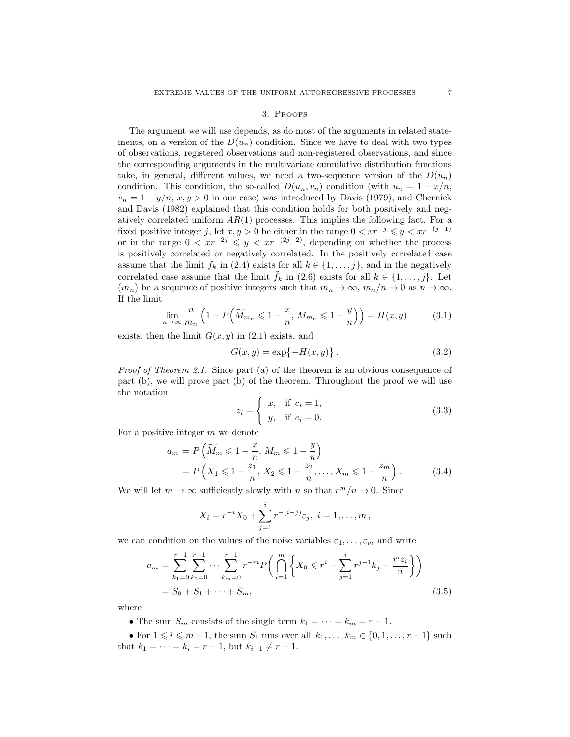### 3. Proofs

The argument we will use depends, as do most of the arguments in related statements, on a version of the  $D(u_n)$  condition. Since we have to deal with two types of observations, registered observations and non-registered observations, and since the corresponding arguments in the multivariate cumulative distribution functions take, in general, different values, we need a two-sequence version of the  $D(u_n)$ condition. This condition, the so-called  $D(u_n, v_n)$  condition (with  $u_n = 1 - x/n$ ,  $v_n = 1 - y/n$ ,  $x, y > 0$  in our case) was introduced by Davis (1979), and Chernick and Davis (1982) explained that this condition holds for both positively and negatively correlated uniform  $AR(1)$  processes. This implies the following fact. For a fixed positive integer j, let  $x, y > 0$  be either in the range  $0 < x r^{-j} \leq y < x r^{-(j-1)}$ or in the range  $0 \lt x r^{-2j} \leq y \lt x r^{-(2j-2)}$ , depending on whether the process is positively correlated or negatively correlated. In the positively correlated case assume that the limit  $f_k$  in (2.4) exists for all  $k \in \{1, \ldots, j\}$ , and in the negatively correlated case assume that the limit  $f_k$  in (2.6) exists for all  $k \in \{1, \ldots, j\}$ . Let  $(m_n)$  be a sequence of positive integers such that  $m_n \to \infty$ ,  $m_n/n \to 0$  as  $n \to \infty$ . If the limit

$$
\lim_{n \to \infty} \frac{n}{m_n} \left( 1 - P\left(\widetilde{M}_{m_n} \leq 1 - \frac{x}{n}, M_{m_n} \leq 1 - \frac{y}{n}\right) \right) = H(x, y) \tag{3.1}
$$

exists, then the limit  $G(x, y)$  in  $(2.1)$  exists, and

$$
G(x, y) = \exp\{-H(x, y)\}.
$$
 (3.2)

Proof of Theorem 2.1. Since part (a) of the theorem is an obvious consequence of part (b), we will prove part (b) of the theorem. Throughout the proof we will use the notation

$$
z_i = \begin{cases} x, & \text{if } c_i = 1, \\ y, & \text{if } c_i = 0. \end{cases}
$$
 (3.3)

For a positive integer m we denote

$$
a_m = P\left(\widetilde{M}_m \leq 1 - \frac{x}{n}, M_m \leq 1 - \frac{y}{n}\right)
$$
  
=  $P\left(X_1 \leq 1 - \frac{z_1}{n}, X_2 \leq 1 - \frac{z_2}{n}, \dots, X_m \leq 1 - \frac{z_m}{n}\right).$  (3.4)

We will let  $m \to \infty$  sufficiently slowly with n so that  $r^m/n \to 0$ . Since

$$
X_i = r^{-i}X_0 + \sum_{j=1}^i r^{-(i-j)}\varepsilon_j, \ i = 1, \dots, m,
$$

we can condition on the values of the noise variables  $\varepsilon_1, \ldots, \varepsilon_m$  and write

$$
a_m = \sum_{k_1=0}^{r-1} \sum_{k_2=0}^{r-1} \cdots \sum_{k_m=0}^{r-1} r^{-m} P\left(\bigcap_{i=1}^m \left\{X_0 \leqslant r^i - \sum_{j=1}^i r^{j-1} k_j - \frac{r^i z_i}{n}\right\}\right)
$$
  
=  $S_0 + S_1 + \cdots + S_m$ , (3.5)

where

• The sum  $S_m$  consists of the single term  $k_1 = \cdots = k_m = r - 1$ .

• For  $1 \leq i \leq m-1$ , the sum  $S_i$  runs over all  $k_1, \ldots, k_m \in \{0, 1, \ldots, r-1\}$  such that  $k_1 = \cdots = k_i = r - 1$ , but  $k_{i+1} \neq r - 1$ .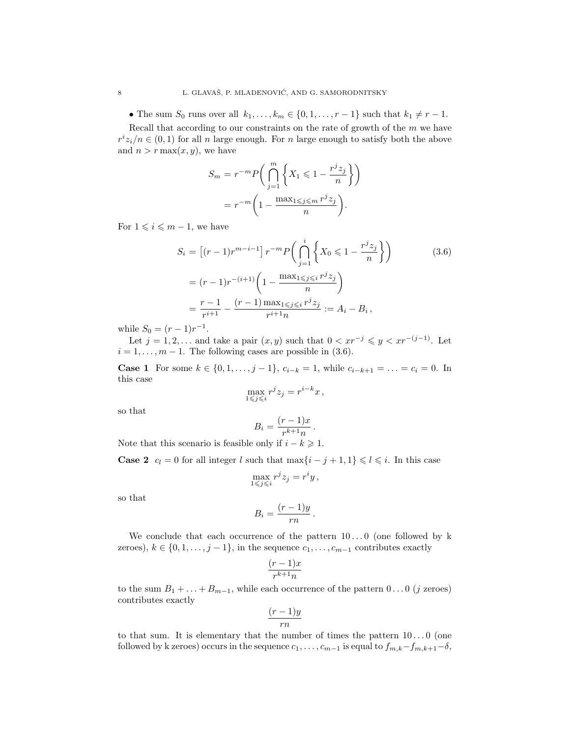• The sum  $S_0$  runs over all  $k_1, \ldots, k_m \in \{0, 1, \ldots, r-1\}$  such that  $k_1 \neq r-1$ .

Recall that according to our constraints on the rate of growth of the  $m$  we have  $r^i z_i/n \in (0,1)$  for all n large enough. For n large enough to satisfy both the above and  $n > r \max(x, y)$ , we have

$$
S_m = r^{-m} P\left(\bigcap_{j=1}^m \left\{X_1 \leq 1 - \frac{r^j z_j}{n}\right\}\right)
$$

$$
= r^{-m} \left(1 - \frac{\max_{1 \leq j \leq m} r^j z_j}{n}\right).
$$

For  $1 \leqslant i \leqslant m-1$ , we have

$$
S_i = \left[ (r-1)r^{m-i-1} \right] r^{-m} P\left( \bigcap_{j=1}^i \left\{ X_0 \leq 1 - \frac{r^j z_j}{n} \right\} \right)
$$
\n
$$
= (r-1)r^{-(i+1)} \left( 1 - \frac{\max_{1 \leq j \leq i} r^j z_j}{n} \right)
$$
\n
$$
= \frac{r-1}{r^{i+1}} - \frac{(r-1)\max_{1 \leq j \leq i} r^j z_j}{r^{i+1} n} := A_i - B_i,
$$
\n(3.6)

while  $S_0 = (r-1)r^{-1}$ .

Let  $j = 1, 2, \ldots$  and take a pair  $(x, y)$  such that  $0 < xr^{-j} \leq y < xr^{-(j-1)}$ . Let  $i = 1, \ldots, m - 1$ . The following cases are possible in (3.6).

**Case 1** For some  $k \in \{0, 1, \ldots, j-1\}$ ,  $c_{i-k} = 1$ , while  $c_{i-k+1} = \ldots = c_i = 0$ . In this case

$$
\max_{1 \leq j \leq i} r^j z_j = r^{i-k} x \,,
$$

so that

$$
B_i = \frac{(r-1)x}{r^{k+1}n}.
$$

Note that this scenario is feasible only if  $i - k \geq 1$ .

**Case 2**  $c_l = 0$  for all integer l such that  $\max\{i - j + 1, 1\} \leq l \leq i$ . In this case

$$
\max_{1\leqslant j\leqslant i}r^jz_j=r^iy\,,
$$

so that

$$
B_i = \frac{(r-1)y}{rn}.
$$

We conclude that each occurrence of the pattern  $10...0$  (one followed by k zeroes),  $k \in \{0, 1, \ldots, j-1\}$ , in the sequence  $c_1, \ldots, c_{m-1}$  contributes exactly

$$
\frac{(r-1)x}{r^{k+1}n}
$$

to the sum  $B_1 + \ldots + B_{m-1}$ , while each occurrence of the pattern  $0 \ldots 0$  (j zeroes) contributes exactly

$$
\frac{(r-1)y}{rn}
$$

to that sum. It is elementary that the number of times the pattern  $10...0$  (one followed by k zeroes) occurs in the sequence  $c_1, \ldots, c_{m-1}$  is equal to  $f_{m,k}-f_{m,k+1}-\delta$ ,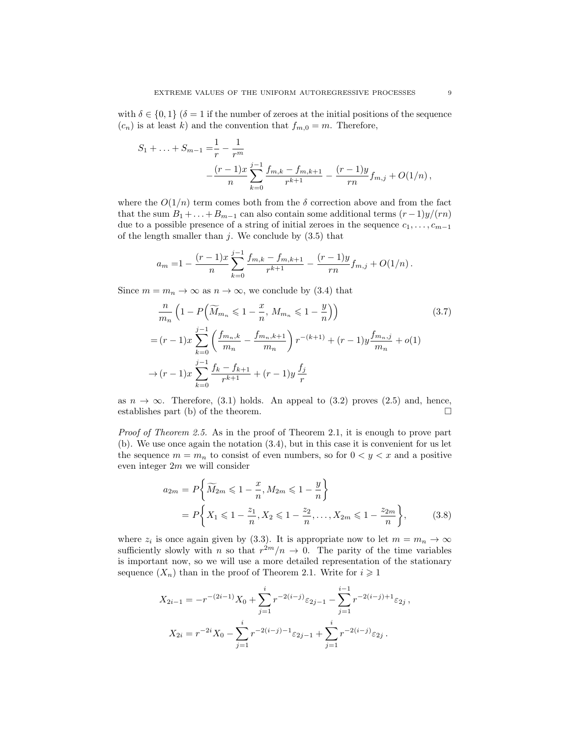with  $\delta \in \{0,1\}$  ( $\delta = 1$  if the number of zeroes at the initial positions of the sequence  $(c_n)$  is at least k) and the convention that  $f_{m,0} = m$ . Therefore,

$$
S_1 + \ldots + S_{m-1} = \frac{1}{r} - \frac{1}{r^m}
$$
  

$$
- \frac{(r-1)x}{n} \sum_{k=0}^{j-1} \frac{f_{m,k} - f_{m,k+1}}{r^{k+1}} - \frac{(r-1)y}{rn} f_{m,j} + O(1/n),
$$

where the  $O(1/n)$  term comes both from the  $\delta$  correction above and from the fact that the sum  $B_1 + ... + B_{m-1}$  can also contain some additional terms  $(r-1)y/(rn)$ due to a possible presence of a string of initial zeroes in the sequence  $c_1, \ldots, c_{m-1}$ of the length smaller than  $j$ . We conclude by  $(3.5)$  that

$$
a_m = 1 - \frac{(r-1)x}{n} \sum_{k=0}^{j-1} \frac{f_{m,k} - f_{m,k+1}}{r^{k+1}} - \frac{(r-1)y}{rn} f_{m,j} + O(1/n).
$$

Since  $m = m_n \to \infty$  as  $n \to \infty$ , we conclude by (3.4) that

$$
\frac{n}{m_n} \left( 1 - P\left( \widetilde{M}_{m_n} \leq 1 - \frac{x}{n}, M_{m_n} \leq 1 - \frac{y}{n} \right) \right)
$$
\n
$$
= (r - 1)x \sum_{k=0}^{j-1} \left( \frac{f_{m_n,k}}{m_n} - \frac{f_{m_n,k+1}}{m_n} \right) r^{-(k+1)} + (r - 1)y \frac{f_{m_n,j}}{m_n} + o(1)
$$
\n
$$
\to (r - 1)x \sum_{k=0}^{j-1} \frac{f_k - f_{k+1}}{r^{k+1}} + (r - 1)y \frac{f_j}{r}
$$
\n(3.7)

as  $n \to \infty$ . Therefore, (3.1) holds. An appeal to (3.2) proves (2.5) and, hence, establishes part (b) of the theorem.  $\Box$ 

Proof of Theorem 2.5. As in the proof of Theorem 2.1, it is enough to prove part (b). We use once again the notation (3.4), but in this case it is convenient for us let the sequence  $m = m_n$  to consist of even numbers, so for  $0 < y < x$  and a positive even integer 2m we will consider

$$
a_{2m} = P\left\{\widetilde{M}_{2m} \leq 1 - \frac{x}{n}, M_{2m} \leq 1 - \frac{y}{n}\right\}
$$
  
=  $P\left\{X_1 \leq 1 - \frac{z_1}{n}, X_2 \leq 1 - \frac{z_2}{n}, \dots, X_{2m} \leq 1 - \frac{z_{2m}}{n}\right\},$  (3.8)

where  $z_i$  is once again given by (3.3). It is appropriate now to let  $m = m_n \to \infty$ sufficiently slowly with n so that  $r^{2m}/n \to 0$ . The parity of the time variables is important now, so we will use a more detailed representation of the stationary sequence  $(X_n)$  than in the proof of Theorem 2.1. Write for  $i \geq 1$ 

$$
X_{2i-1} = -r^{-(2i-1)}X_0 + \sum_{j=1}^i r^{-2(i-j)} \varepsilon_{2j-1} - \sum_{j=1}^{i-1} r^{-2(i-j)+1} \varepsilon_{2j},
$$
  

$$
X_{2i} = r^{-2i}X_0 - \sum_{j=1}^i r^{-2(i-j)-1} \varepsilon_{2j-1} + \sum_{j=1}^i r^{-2(i-j)} \varepsilon_{2j}.
$$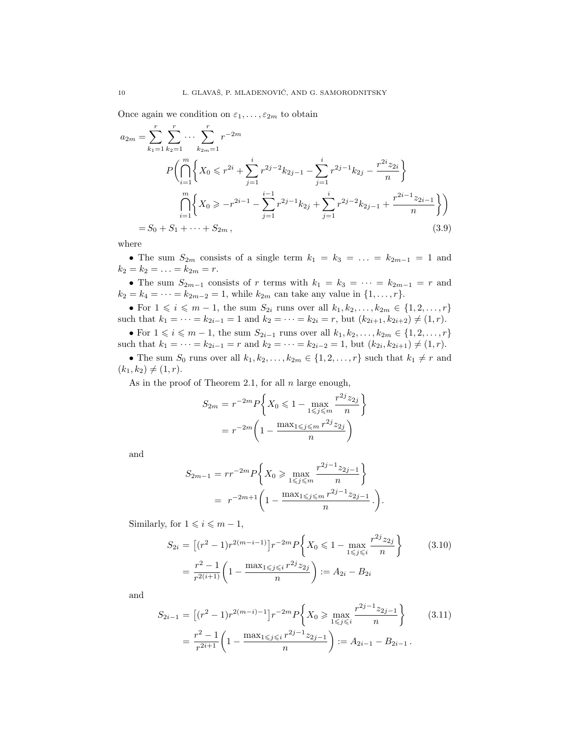Once again we condition on  $\varepsilon_1, \ldots, \varepsilon_{2m}$  to obtain

$$
a_{2m} = \sum_{k_1=1}^r \sum_{k_2=1}^r \cdots \sum_{k_{2m}=1}^r r^{-2m}
$$
  
\n
$$
P\left(\bigcap_{i=1}^m \left\{X_0 \le r^{2i} + \sum_{j=1}^i r^{2j-2} k_{2j-1} - \sum_{j=1}^i r^{2j-1} k_{2j} - \frac{r^{2i} z_{2i}}{n}\right\}
$$
  
\n
$$
\bigcap_{i=1}^m \left\{X_0 \ge -r^{2i-1} - \sum_{j=1}^{i-1} r^{2j-1} k_{2j} + \sum_{j=1}^i r^{2j-2} k_{2j-1} + \frac{r^{2i-1} z_{2i-1}}{n}\right\}\right)
$$
  
\n
$$
= S_0 + S_1 + \cdots + S_{2m}, \qquad (3.9)
$$

where

• The sum  $S_{2m}$  consists of a single term  $k_1 = k_3 = \ldots = k_{2m-1} = 1$  and  $k_2 = k_2 = \ldots = k_{2m} = r.$ 

• The sum  $S_{2m-1}$  consists of r terms with  $k_1 = k_3 = \cdots = k_{2m-1} = r$  and  $k_2 = k_4 = \cdots = k_{2m-2} = 1$ , while  $k_{2m}$  can take any value in  $\{1, \ldots, r\}$ .

• For  $1 \leq i \leq m-1$ , the sum  $S_{2i}$  runs over all  $k_1, k_2, ..., k_{2m} \in \{1, 2, ..., r\}$ such that  $k_1 = \cdots = k_{2i-1} = 1$  and  $k_2 = \cdots = k_{2i} = r$ , but  $(k_{2i+1}, k_{2i+2}) \neq (1, r)$ .

• For  $1 \leq i \leq m-1$ , the sum  $S_{2i-1}$  runs over all  $k_1, k_2, \ldots, k_{2m} \in \{1, 2, \ldots, r\}$ such that  $k_1 = \cdots = k_{2i-1} = r$  and  $k_2 = \cdots = k_{2i-2} = 1$ , but  $(k_{2i}, k_{2i+1}) \neq (1, r)$ .

• The sum  $S_0$  runs over all  $k_1, k_2, \ldots, k_{2m} \in \{1, 2, \ldots, r\}$  such that  $k_1 \neq r$  and  $(k_1, k_2) \neq (1, r).$ 

As in the proof of Theorem 2.1, for all  $n$  large enough,

$$
S_{2m} = r^{-2m} P \left\{ X_0 \leq 1 - \max_{1 \leq j \leq m} \frac{r^{2j} z_{2j}}{n} \right\}
$$
  
= 
$$
r^{-2m} \left( 1 - \frac{\max_{1 \leq j \leq m} r^{2j} z_{2j}}{n} \right)
$$

and

$$
S_{2m-1} = rr^{-2m} P\left\{X_0 \ge \max_{1 \le j \le m} \frac{r^{2j-1} z_{2j-1}}{n} \right\}
$$
  
= 
$$
r^{-2m+1} \left(1 - \frac{\max_{1 \le j \le m} r^{2j-1} z_{2j-1}}{n} \cdot \right).
$$

Similarly, for  $1 \leq i \leq m - 1$ ,

$$
S_{2i} = \left[ (r^2 - 1)r^{2(m-i-1)} \right] r^{-2m} P\left\{ X_0 \leq 1 - \max_{1 \leq j \leq i} \frac{r^{2j} z_{2j}}{n} \right\}
$$
(3.10)  

$$
= \frac{r^2 - 1}{r^{2(i+1)}} \left( 1 - \frac{\max_{1 \leq j \leq i} r^{2j} z_{2j}}{n} \right) := A_{2i} - B_{2i}
$$

and

$$
S_{2i-1} = \left[ (r^2 - 1)r^{2(m-i)-1} \right] r^{-2m} P \left\{ X_0 \ge \max_{1 \le j \le i} \frac{r^{2j-1} z_{2j-1}}{n} \right\}
$$
(3.11)  

$$
= \frac{r^2 - 1}{r^{2i+1}} \left( 1 - \frac{\max_{1 \le j \le i} r^{2j-1} z_{2j-1}}{n} \right) := A_{2i-1} - B_{2i-1}.
$$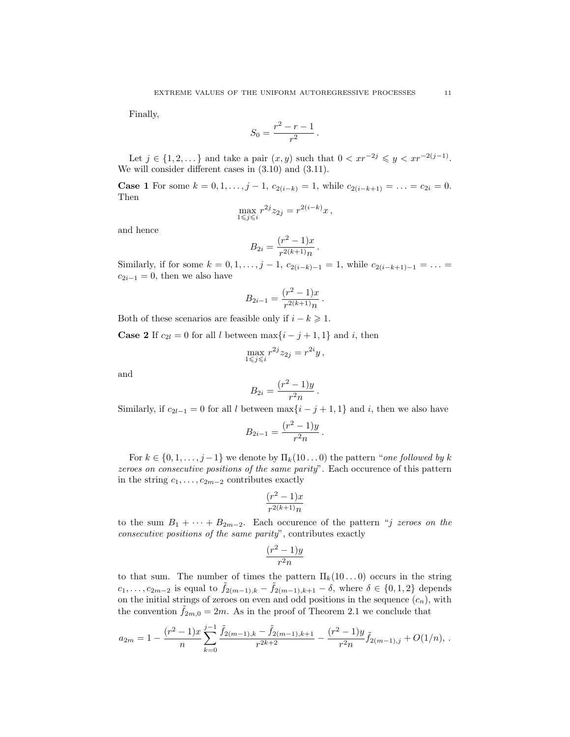Finally,

$$
S_0 = \frac{r^2 - r - 1}{r^2} \, .
$$

Let  $j \in \{1, 2, ...\}$  and take a pair  $(x, y)$  such that  $0 < xr^{-2j} \leq y < xr^{-2(j-1)}$ . We will consider different cases in (3.10) and (3.11).

**Case 1** For some  $k = 0, 1, \ldots, j - 1$ ,  $c_{2(i-k)} = 1$ , while  $c_{2(i-k+1)} = \ldots = c_{2i} = 0$ . Then

$$
\max_{1 \leq j \leq i} r^{2j} z_{2j} = r^{2(i-k)} x,
$$

and hence

$$
B_{2i} = \frac{(r^2 - 1)x}{r^{2(k+1)}n} \, .
$$

Similarly, if for some  $k = 0, 1, \ldots, j - 1, c_{2(i-k)-1} = 1$ , while  $c_{2(i-k+1)-1} = \ldots =$  $c_{2i-1} = 0$ , then we also have

$$
B_{2i-1} = \frac{(r^2 - 1)x}{r^{2(k+1)}n}.
$$

Both of these scenarios are feasible only if  $i - k \geq 1$ .

**Case 2** If  $c_{2l} = 0$  for all l between max $\{i - j + 1, 1\}$  and i, then

$$
\max_{1 \leq j \leq i} r^{2j} z_{2j} = r^{2i} y,
$$

and

$$
B_{2i} = \frac{(r^2 - 1)y}{r^2 n}.
$$

Similarly, if  $c_{2l-1} = 0$  for all l between  $\max\{i - j + 1, 1\}$  and i, then we also have

$$
B_{2i-1} = \frac{(r^2 - 1)y}{r^2 n}.
$$

For  $k \in \{0, 1, \ldots, j-1\}$  we denote by  $\Pi_k(10\ldots 0)$  the pattern "one followed by k zeroes on consecutive positions of the same parity". Each occurence of this pattern in the string  $c_1, \ldots, c_{2m-2}$  contributes exactly

$$
\frac{(r^2-1)x}{r^{2(k+1)}n}
$$

to the sum  $B_1 + \cdots + B_{2m-2}$ . Each occurence of the pattern "*j zeroes on the* consecutive positions of the same parity", contributes exactly

$$
\frac{(r^2-1)y}{r^2n}
$$

to that sum. The number of times the pattern  $\Pi_k(10...0)$  occurs in the string  $c_1, \ldots, c_{2m-2}$  is equal to  $\tilde{f}_{2(m-1),k} - \tilde{f}_{2(m-1),k+1} - \delta$ , where  $\delta \in \{0, 1, 2\}$  depends on the initial strings of zeroes on even and odd positions in the sequence  $(c_n)$ , with the convention  $f_{2m,0} = 2m$ . As in the proof of Theorem 2.1 we conclude that

$$
a_{2m} = 1 - \frac{(r^2 - 1)x}{n} \sum_{k=0}^{j-1} \frac{\tilde{f}_{2(m-1),k} - \tilde{f}_{2(m-1),k+1}}{r^{2k+2}} - \frac{(r^2 - 1)y}{r^2 n} \tilde{f}_{2(m-1),j} + O(1/n),
$$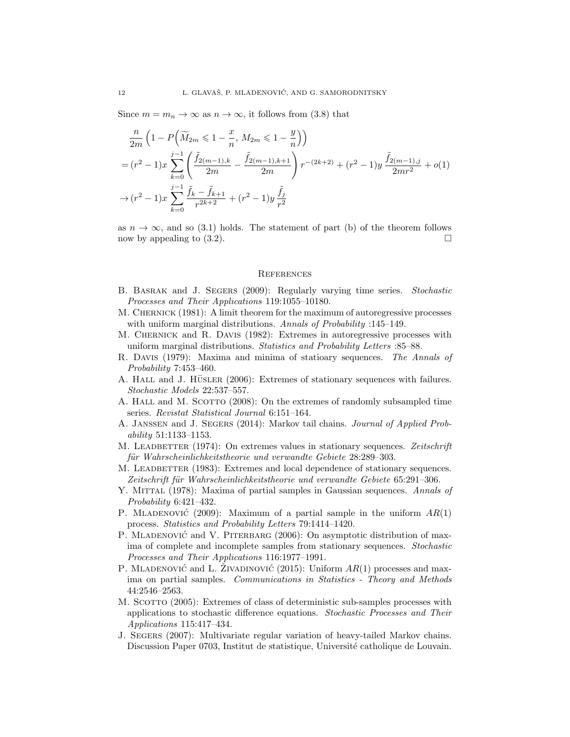Since  $m = m_n \to \infty$  as  $n \to \infty$ , it follows from (3.8) that

$$
\frac{n}{2m} \left( 1 - P\left( \widetilde{M}_{2m} \leq 1 - \frac{x}{n}, M_{2m} \leq 1 - \frac{y}{n} \right) \right)
$$
\n
$$
= (r^2 - 1)x \sum_{k=0}^{j-1} \left( \frac{\widetilde{f}_{2(m-1),k}}{2m} - \frac{\widetilde{f}_{2(m-1),k+1}}{2m} \right) r^{-(2k+2)} + (r^2 - 1)y \frac{\widetilde{f}_{2(m-1),j}}{2mr^2} + o(1)
$$
\n
$$
\to (r^2 - 1)x \sum_{k=0}^{j-1} \frac{\widetilde{f}_k - \widetilde{f}_{k+1}}{r^{2k+2}} + (r^2 - 1)y \frac{\widetilde{f}_j}{r^2}
$$

as  $n \to \infty$ , and so (3.1) holds. The statement of part (b) of the theorem follows now by appealing to  $(3.2)$ .

## **REFERENCES**

- B. Basrak and J. Segers (2009): Regularly varying time series. Stochastic Processes and Their Applications 119:1055–10180.
- M. CHERNICK (1981): A limit theorem for the maximum of autoregressive processes with uniform marginal distributions. Annals of Probability :145–149.
- M. Chernick and R. Davis (1982): Extremes in autoregressive processes with uniform marginal distributions. Statistics and Probability Letters :85–88.
- R. Davis (1979): Maxima and minima of statioary sequences. The Annals of Probability 7:453–460.
- A. HALL and J. HÜSLER (2006): Extremes of stationary sequences with failures. Stochastic Models 22:537–557.
- A. HALL and M. SCOTTO (2008): On the extremes of randomly subsampled time series. Revistat Statistical Journal 6:151–164.
- A. Janssen and J. Segers (2014): Markov tail chains. Journal of Applied Probability 51:1133–1153.
- M. LEADBETTER (1974): On extremes values in stationary sequences. Zeitschrift für Wahrscheinlichkeitstheorie und verwandte Gebiete 28:289–303.
- M. LEADBETTER (1983): Extremes and local dependence of stationary sequences. Zeitschrift für Wahrscheinlichkeitstheorie und verwandte Gebiete 65:291–306.
- Y. MITTAL (1978): Maxima of partial samples in Gaussian sequences. Annals of Probability 6:421–432.
- P. MLADENOVIC<sup> $(2009)$ :</sup> Maximum of a partial sample in the uniform  $AR(1)$ process. Statistics and Probability Letters 79:1414–1420.
- P. MLADENOVIC<sup> $\alpha$ </sup> and V. PITERBARG (2006): On asymptotic distribution of maxima of complete and incomplete samples from stationary sequences. Stochastic Processes and Their Applications 116:1977–1991.
- P. MLADENOVIĆ and L. ZIVADINOVIĆ (2015): Uniform  $AR(1)$  processes and maxima on partial samples. Communications in Statistics - Theory and Methods 44:2546–2563.
- M. SCOTTO (2005): Extremes of class of deterministic sub-samples processes with applications to stochastic difference equations. Stochastic Processes and Their Applications 115:417–434.
- J. Segers (2007): Multivariate regular variation of heavy-tailed Markov chains. Discussion Paper 0703, Institut de statistique, Université catholique de Louvain.